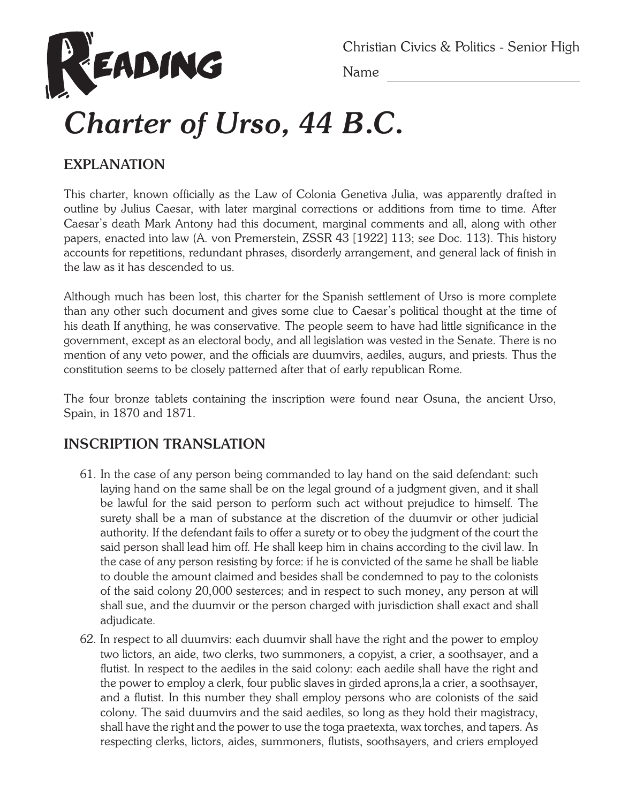

Christian Civics & Politics - Senior High

Name

## *Charter of Urso, 44 B.C.*

## **EXPLANATION**

This charter, known officially as the Law of Colonia Genetiva Julia, was apparently drafted in outline by Julius Caesar, with later marginal corrections or additions from time to time. After Caesar's death Mark Antony had this document, marginal comments and all, along with other papers, enacted into law (A. von Premerstein, ZSSR 43 [1922] 113; see Doc. 113). This history accounts for repetitions, redundant phrases, disorderly arrangement, and general lack of finish in the law as it has descended to us.

Although much has been lost, this charter for the Spanish settlement of Urso is more complete than any other such document and gives some clue to Caesar's political thought at the time of his death If anything, he was conservative. The people seem to have had little significance in the government, except as an electoral body, and all legislation was vested in the Senate. There is no mention of any veto power, and the officials are duumvirs, aediles, augurs, and priests. Thus the constitution seems to be closely patterned after that of early republican Rome.

The four bronze tablets containing the inscription were found near Osuna, the ancient Urso, Spain, in 1870 and 1871.

## **INSCRIPTION TRANSLATION**

- 61. In the case of any person being commanded to lay hand on the said defendant: such laying hand on the same shall be on the legal ground of a judgment given, and it shall be lawful for the said person to perform such act without prejudice to himself. The surety shall be a man of substance at the discretion of the duumvir or other judicial authority. If the defendant fails to offer a surety or to obey the judgment of the court the said person shall lead him off. He shall keep him in chains according to the civil law. In the case of any person resisting by force: if he is convicted of the same he shall be liable to double the amount claimed and besides shall be condemned to pay to the colonists of the said colony 20,000 sesterces; and in respect to such money, any person at will shall sue, and the duumvir or the person charged with jurisdiction shall exact and shall adjudicate.
- 62. In respect to all duumvirs: each duumvir shall have the right and the power to employ two lictors, an aide, two clerks, two summoners, a copyist, a crier, a soothsayer, and a flutist. In respect to the aediles in the said colony: each aedile shall have the right and the power to employ a clerk, four public slaves in girded aprons,la a crier, a soothsayer, and a flutist. In this number they shall employ persons who are colonists of the said colony. The said duumvirs and the said aediles, so long as they hold their magistracy, shall have the right and the power to use the toga praetexta, wax torches, and tapers. As respecting clerks, lictors, aides, summoners, flutists, soothsayers, and criers employed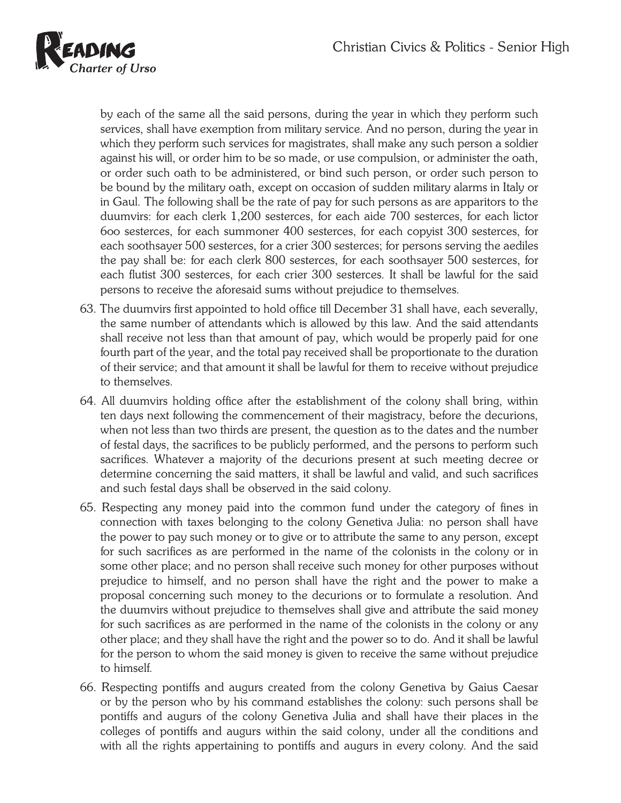

by each of the same all the said persons, during the year in which they perform such services, shall have exemption from military service. And no person, during the year in which they perform such services for magistrates, shall make any such person a soldier against his will, or order him to be so made, or use compulsion, or administer the oath, or order such oath to be administered, or bind such person, or order such person to be bound by the military oath, except on occasion of sudden military alarms in Italy or in Gaul. The following shall be the rate of pay for such persons as are apparitors to the duumvirs: for each clerk 1,200 sesterces, for each aide 700 sesterces, for each lictor 6oo sesterces, for each summoner 400 sesterces, for each copyist 300 sesterces, for each soothsayer 500 sesterces, for a crier 300 sesterces; for persons serving the aediles the pay shall be: for each clerk 800 sesterces, for each soothsayer 500 sesterces, for each flutist 300 sesterces, for each crier 300 sesterces. It shall be lawful for the said persons to receive the aforesaid sums without prejudice to themselves.

- 63. The duumvirs first appointed to hold office till December 31 shall have, each severally, the same number of attendants which is allowed by this law. And the said attendants shall receive not less than that amount of pay, which would be properly paid for one fourth part of the year, and the total pay received shall be proportionate to the duration of their service; and that amount it shall be lawful for them to receive without prejudice to themselves.
- 64. All duumvirs holding office after the establishment of the colony shall bring, within ten days next following the commencement of their magistracy, before the decurions, when not less than two thirds are present, the question as to the dates and the number of festal days, the sacrifices to be publicly performed, and the persons to perform such sacrifices. Whatever a majority of the decurions present at such meeting decree or determine concerning the said matters, it shall be lawful and valid, and such sacrifices and such festal days shall be observed in the said colony.
- 65. Respecting any money paid into the common fund under the category of fines in connection with taxes belonging to the colony Genetiva Julia: no person shall have the power to pay such money or to give or to attribute the same to any person, except for such sacrifices as are performed in the name of the colonists in the colony or in some other place; and no person shall receive such money for other purposes without prejudice to himself, and no person shall have the right and the power to make a proposal concerning such money to the decurions or to formulate a resolution. And the duumvirs without prejudice to themselves shall give and attribute the said money for such sacrifices as are performed in the name of the colonists in the colony or any other place; and they shall have the right and the power so to do. And it shall be lawful for the person to whom the said money is given to receive the same without prejudice to himself.
- 66. Respecting pontiffs and augurs created from the colony Genetiva by Gaius Caesar or by the person who by his command establishes the colony: such persons shall be pontiffs and augurs of the colony Genetiva Julia and shall have their places in the colleges of pontiffs and augurs within the said colony, under all the conditions and with all the rights appertaining to pontiffs and augurs in every colony. And the said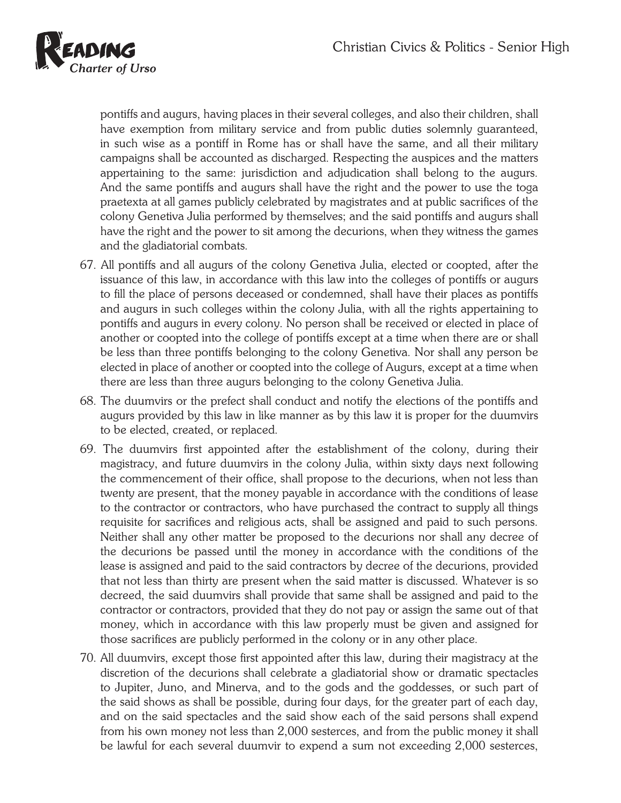

pontiffs and augurs, having places in their several colleges, and also their children, shall have exemption from military service and from public duties solemnly guaranteed, in such wise as a pontiff in Rome has or shall have the same, and all their military campaigns shall be accounted as discharged. Respecting the auspices and the matters appertaining to the same: jurisdiction and adjudication shall belong to the augurs. And the same pontiffs and augurs shall have the right and the power to use the toga praetexta at all games publicly celebrated by magistrates and at public sacrifices of the colony Genetiva Julia performed by themselves; and the said pontiffs and augurs shall have the right and the power to sit among the decurions, when they witness the games and the gladiatorial combats.

- 67. All pontiffs and all augurs of the colony Genetiva Julia, elected or coopted, after the issuance of this law, in accordance with this law into the colleges of pontiffs or augurs to fill the place of persons deceased or condemned, shall have their places as pontiffs and augurs in such colleges within the colony Julia, with all the rights appertaining to pontiffs and augurs in every colony. No person shall be received or elected in place of another or coopted into the college of pontiffs except at a time when there are or shall be less than three pontiffs belonging to the colony Genetiva. Nor shall any person be elected in place of another or coopted into the college of Augurs, except at a time when there are less than three augurs belonging to the colony Genetiva Julia.
- 68. The duumvirs or the prefect shall conduct and notify the elections of the pontiffs and augurs provided by this law in like manner as by this law it is proper for the duumvirs to be elected, created, or replaced.
- 69. The duumvirs first appointed after the establishment of the colony, during their magistracy, and future duumvirs in the colony Julia, within sixty days next following the commencement of their office, shall propose to the decurions, when not less than twenty are present, that the money payable in accordance with the conditions of lease to the contractor or contractors, who have purchased the contract to supply all things requisite for sacrifices and religious acts, shall be assigned and paid to such persons. Neither shall any other matter be proposed to the decurions nor shall any decree of the decurions be passed until the money in accordance with the conditions of the lease is assigned and paid to the said contractors by decree of the decurions, provided that not less than thirty are present when the said matter is discussed. Whatever is so decreed, the said duumvirs shall provide that same shall be assigned and paid to the contractor or contractors, provided that they do not pay or assign the same out of that money, which in accordance with this law properly must be given and assigned for those sacrifices are publicly performed in the colony or in any other place.
- 70. All duumvirs, except those first appointed after this law, during their magistracy at the discretion of the decurions shall celebrate a gladiatorial show or dramatic spectacles to Jupiter, Juno, and Minerva, and to the gods and the goddesses, or such part of the said shows as shall be possible, during four days, for the greater part of each day, and on the said spectacles and the said show each of the said persons shall expend from his own money not less than 2,000 sesterces, and from the public money it shall be lawful for each several duumvir to expend a sum not exceeding 2,000 sesterces,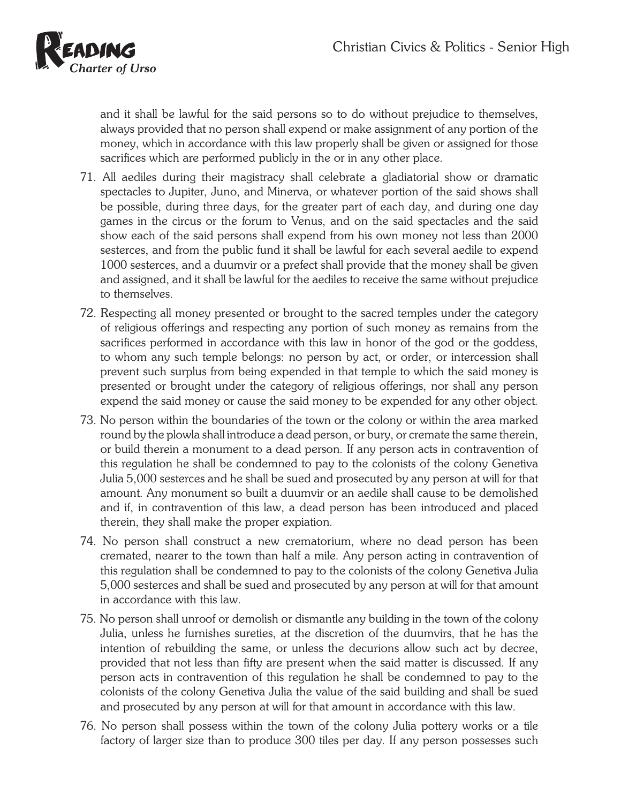

and it shall be lawful for the said persons so to do without prejudice to themselves, always provided that no person shall expend or make assignment of any portion of the money, which in accordance with this law properly shall be given or assigned for those sacrifices which are performed publicly in the or in any other place.

- 71. All aediles during their magistracy shall celebrate a gladiatorial show or dramatic spectacles to Jupiter, Juno, and Minerva, or whatever portion of the said shows shall be possible, during three days, for the greater part of each day, and during one day games in the circus or the forum to Venus, and on the said spectacles and the said show each of the said persons shall expend from his own money not less than 2000 sesterces, and from the public fund it shall be lawful for each several aedile to expend 1000 sesterces, and a duumvir or a prefect shall provide that the money shall be given and assigned, and it shall be lawful for the aediles to receive the same without prejudice to themselves.
- 72. Respecting all money presented or brought to the sacred temples under the category of religious offerings and respecting any portion of such money as remains from the sacrifices performed in accordance with this law in honor of the god or the goddess, to whom any such temple belongs: no person by act, or order, or intercession shall prevent such surplus from being expended in that temple to which the said money is presented or brought under the category of religious offerings, nor shall any person expend the said money or cause the said money to be expended for any other object.
- 73. No person within the boundaries of the town or the colony or within the area marked round by the plowla shall introduce a dead person, or bury, or cremate the same therein, or build therein a monument to a dead person. If any person acts in contravention of this regulation he shall be condemned to pay to the colonists of the colony Genetiva Julia 5,000 sesterces and he shall be sued and prosecuted by any person at will for that amount. Any monument so built a duumvir or an aedile shall cause to be demolished and if, in contravention of this law, a dead person has been introduced and placed therein, they shall make the proper expiation.
- 74. No person shall construct a new crematorium, where no dead person has been cremated, nearer to the town than half a mile. Any person acting in contravention of this regulation shall be condemned to pay to the colonists of the colony Genetiva Julia 5,000 sesterces and shall be sued and prosecuted by any person at will for that amount in accordance with this law.
- 75. No person shall unroof or demolish or dismantle any building in the town of the colony Julia, unless he furnishes sureties, at the discretion of the duumvirs, that he has the intention of rebuilding the same, or unless the decurions allow such act by decree, provided that not less than fifty are present when the said matter is discussed. If any person acts in contravention of this regulation he shall be condemned to pay to the colonists of the colony Genetiva Julia the value of the said building and shall be sued and prosecuted by any person at will for that amount in accordance with this law.
- 76. No person shall possess within the town of the colony Julia pottery works or a tile factory of larger size than to produce 300 tiles per day. If any person possesses such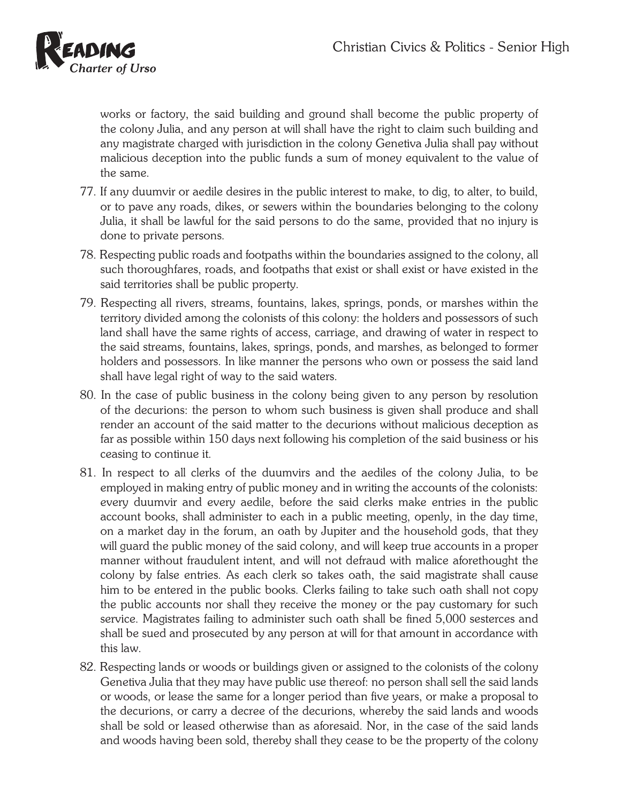

works or factory, the said building and ground shall become the public property of the colony Julia, and any person at will shall have the right to claim such building and any magistrate charged with jurisdiction in the colony Genetiva Julia shall pay without malicious deception into the public funds a sum of money equivalent to the value of the same.

- 77. If any duumvir or aedile desires in the public interest to make, to dig, to alter, to build, or to pave any roads, dikes, or sewers within the boundaries belonging to the colony Julia, it shall be lawful for the said persons to do the same, provided that no injury is done to private persons.
- 78. Respecting public roads and footpaths within the boundaries assigned to the colony, all such thoroughfares, roads, and footpaths that exist or shall exist or have existed in the said territories shall be public property.
- 79. Respecting all rivers, streams, fountains, lakes, springs, ponds, or marshes within the territory divided among the colonists of this colony: the holders and possessors of such land shall have the same rights of access, carriage, and drawing of water in respect to the said streams, fountains, lakes, springs, ponds, and marshes, as belonged to former holders and possessors. In like manner the persons who own or possess the said land shall have legal right of way to the said waters.
- 80. In the case of public business in the colony being given to any person by resolution of the decurions: the person to whom such business is given shall produce and shall render an account of the said matter to the decurions without malicious deception as far as possible within 150 days next following his completion of the said business or his ceasing to continue it.
- 81. In respect to all clerks of the duumvirs and the aediles of the colony Julia, to be employed in making entry of public money and in writing the accounts of the colonists: every duumvir and every aedile, before the said clerks make entries in the public account books, shall administer to each in a public meeting, openly, in the day time, on a market day in the forum, an oath by Jupiter and the household gods, that they will guard the public money of the said colony, and will keep true accounts in a proper manner without fraudulent intent, and will not defraud with malice aforethought the colony by false entries. As each clerk so takes oath, the said magistrate shall cause him to be entered in the public books. Clerks failing to take such oath shall not copy the public accounts nor shall they receive the money or the pay customary for such service. Magistrates failing to administer such oath shall be fined 5,000 sesterces and shall be sued and prosecuted by any person at will for that amount in accordance with this law.
- 82. Respecting lands or woods or buildings given or assigned to the colonists of the colony Genetiva Julia that they may have public use thereof: no person shall sell the said lands or woods, or lease the same for a longer period than five years, or make a proposal to the decurions, or carry a decree of the decurions, whereby the said lands and woods shall be sold or leased otherwise than as aforesaid. Nor, in the case of the said lands and woods having been sold, thereby shall they cease to be the property of the colony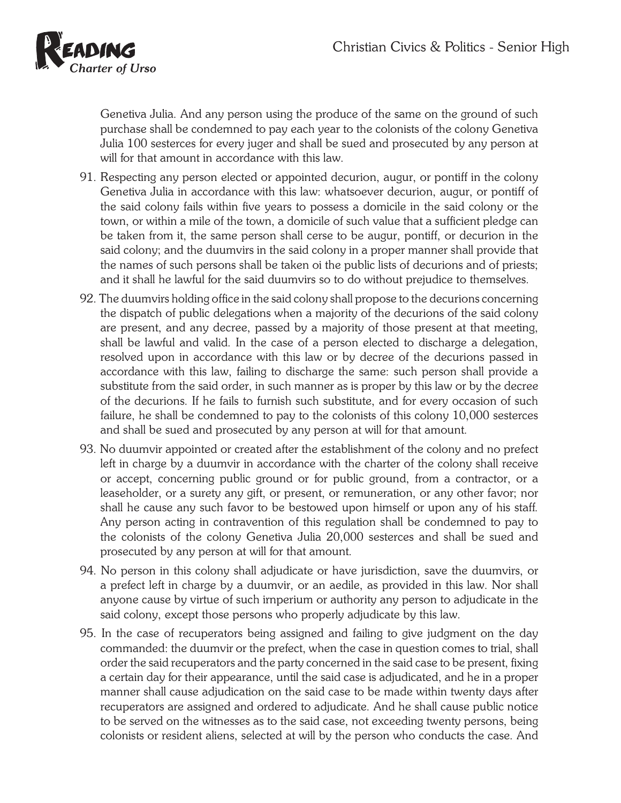

Genetiva Julia. And any person using the produce of the same on the ground of such purchase shall be condemned to pay each year to the colonists of the colony Genetiva Julia 100 sesterces for every juger and shall be sued and prosecuted by any person at will for that amount in accordance with this law.

- 91. Respecting any person elected or appointed decurion, augur, or pontiff in the colony Genetiva Julia in accordance with this law: whatsoever decurion, augur, or pontiff of the said colony fails within five years to possess a domicile in the said colony or the town, or within a mile of the town, a domicile of such value that a sufficient pledge can be taken from it, the same person shall cerse to be augur, pontiff, or decurion in the said colony; and the duumvirs in the said colony in a proper manner shall provide that the names of such persons shall be taken oi the public lists of decurions and of priests; and it shall he lawful for the said duumvirs so to do without prejudice to themselves.
- 92. The duumvirs holding office in the said colony shall propose to the decurions concerning the dispatch of public delegations when a majority of the decurions of the said colony are present, and any decree, passed by a majority of those present at that meeting, shall be lawful and valid. In the case of a person elected to discharge a delegation, resolved upon in accordance with this law or by decree of the decurions passed in accordance with this law, failing to discharge the same: such person shall provide a substitute from the said order, in such manner as is proper by this law or by the decree of the decurions. If he fails to furnish such substitute, and for every occasion of such failure, he shall be condemned to pay to the colonists of this colony 10,000 sesterces and shall be sued and prosecuted by any person at will for that amount.
- 93. No duumvir appointed or created after the establishment of the colony and no prefect left in charge by a duumvir in accordance with the charter of the colony shall receive or accept, concerning public ground or for public ground, from a contractor, or a leaseholder, or a surety any gift, or present, or remuneration, or any other favor; nor shall he cause any such favor to be bestowed upon himself or upon any of his staff. Any person acting in contravention of this regulation shall be condemned to pay to the colonists of the colony Genetiva Julia 20,000 sesterces and shall be sued and prosecuted by any person at will for that amount.
- 94. No person in this colony shall adjudicate or have jurisdiction, save the duumvirs, or a prefect left in charge by a duumvir, or an aedile, as provided in this law. Nor shall anyone cause by virtue of such irnperium or authority any person to adjudicate in the said colony, except those persons who properly adjudicate by this law.
- 95. In the case of recuperators being assigned and failing to give judgment on the day commanded: the duumvir or the prefect, when the case in question comes to trial, shall order the said recuperators and the party concerned in the said case to be present, fixing a certain day for their appearance, until the said case is adjudicated, and he in a proper manner shall cause adjudication on the said case to be made within twenty days after recuperators are assigned and ordered to adjudicate. And he shall cause public notice to be served on the witnesses as to the said case, not exceeding twenty persons, being colonists or resident aliens, selected at will by the person who conducts the case. And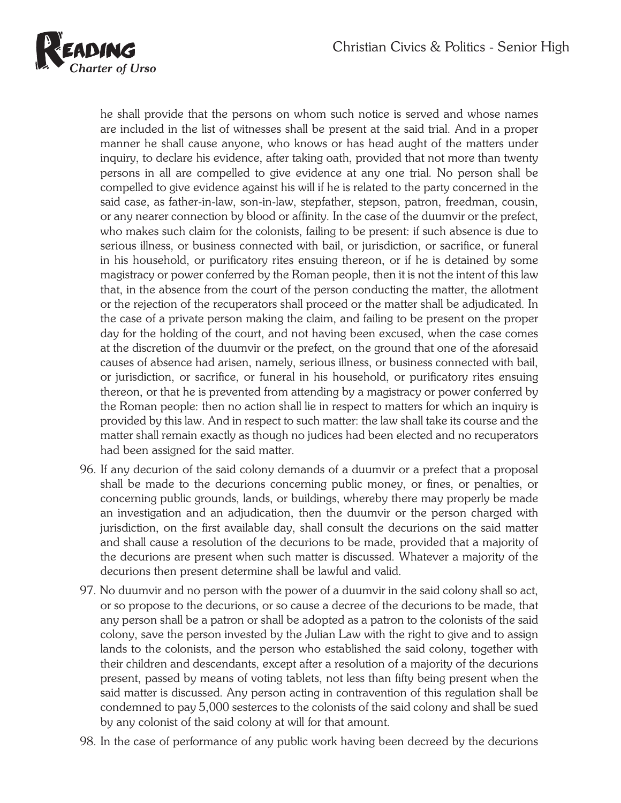

he shall provide that the persons on whom such notice is served and whose names are included in the list of witnesses shall be present at the said trial. And in a proper manner he shall cause anyone, who knows or has head aught of the matters under inquiry, to declare his evidence, after taking oath, provided that not more than twenty persons in all are compelled to give evidence at any one trial. No person shall be compelled to give evidence against his will if he is related to the party concerned in the said case, as father-in-law, son-in-law, stepfather, stepson, patron, freedman, cousin, or any nearer connection by blood or affinity. In the case of the duumvir or the prefect, who makes such claim for the colonists, failing to be present: if such absence is due to serious illness, or business connected with bail, or jurisdiction, or sacrifice, or funeral in his household, or purificatory rites ensuing thereon, or if he is detained by some magistracy or power conferred by the Roman people, then it is not the intent of this law that, in the absence from the court of the person conducting the matter, the allotment or the rejection of the recuperators shall proceed or the matter shall be adjudicated. In the case of a private person making the claim, and failing to be present on the proper day for the holding of the court, and not having been excused, when the case comes at the discretion of the duumvir or the prefect, on the ground that one of the aforesaid causes of absence had arisen, namely, serious illness, or business connected with bail, or jurisdiction, or sacrifice, or funeral in his household, or purificatory rites ensuing thereon, or that he is prevented from attending by a magistracy or power conferred by the Roman people: then no action shall lie in respect to matters for which an inquiry is provided by this law. And in respect to such matter: the law shall take its course and the matter shall remain exactly as though no judices had been elected and no recuperators had been assigned for the said matter.

- 96. If any decurion of the said colony demands of a duumvir or a prefect that a proposal shall be made to the decurions concerning public money, or fines, or penalties, or concerning public grounds, lands, or buildings, whereby there may properly be made an investigation and an adjudication, then the duumvir or the person charged with jurisdiction, on the first available day, shall consult the decurions on the said matter and shall cause a resolution of the decurions to be made, provided that a majority of the decurions are present when such matter is discussed. Whatever a majority of the decurions then present determine shall be lawful and valid.
- 97. No duumvir and no person with the power of a duumvir in the said colony shall so act, or so propose to the decurions, or so cause a decree of the decurions to be made, that any person shall be a patron or shall be adopted as a patron to the colonists of the said colony, save the person invested by the Julian Law with the right to give and to assign lands to the colonists, and the person who established the said colony, together with their children and descendants, except after a resolution of a majority of the decurions present, passed by means of voting tablets, not less than fifty being present when the said matter is discussed. Any person acting in contravention of this regulation shall be condemned to pay 5,000 sesterces to the colonists of the said colony and shall be sued by any colonist of the said colony at will for that amount.
- 98. In the case of performance of any public work having been decreed by the decurions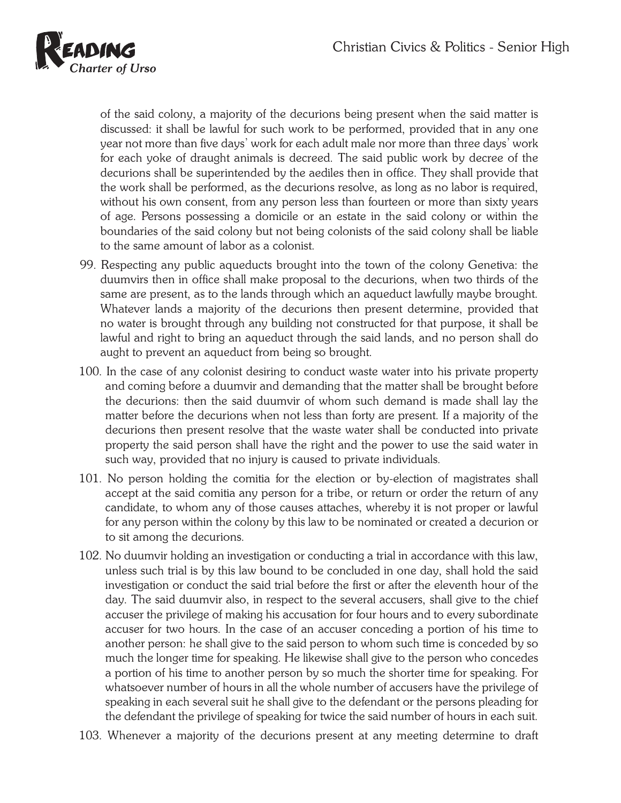

of the said colony, a majority of the decurions being present when the said matter is discussed: it shall be lawful for such work to be performed, provided that in any one year not more than five days' work for each adult male nor more than three days' work for each yoke of draught animals is decreed. The said public work by decree of the decurions shall be superintended by the aediles then in office. They shall provide that the work shall be performed, as the decurions resolve, as long as no labor is required, without his own consent, from any person less than fourteen or more than sixty years of age. Persons possessing a domicile or an estate in the said colony or within the boundaries of the said colony but not being colonists of the said colony shall be liable to the same amount of labor as a colonist.

- 99. Respecting any public aqueducts brought into the town of the colony Genetiva: the duumvirs then in office shall make proposal to the decurions, when two thirds of the same are present, as to the lands through which an aqueduct lawfully maybe brought. Whatever lands a majority of the decurions then present determine, provided that no water is brought through any building not constructed for that purpose, it shall be lawful and right to bring an aqueduct through the said lands, and no person shall do aught to prevent an aqueduct from being so brought.
- 100. In the case of any colonist desiring to conduct waste water into his private property and coming before a duumvir and demanding that the matter shall be brought before the decurions: then the said duumvir of whom such demand is made shall lay the matter before the decurions when not less than forty are present. If a majority of the decurions then present resolve that the waste water shall be conducted into private property the said person shall have the right and the power to use the said water in such way, provided that no injury is caused to private individuals.
- 101. No person holding the comitia for the election or by-election of magistrates shall accept at the said comitia any person for a tribe, or return or order the return of any candidate, to whom any of those causes attaches, whereby it is not proper or lawful for any person within the colony by this law to be nominated or created a decurion or to sit among the decurions.
- 102. No duumvir holding an investigation or conducting a trial in accordance with this law, unless such trial is by this law bound to be concluded in one day, shall hold the said investigation or conduct the said trial before the first or after the eleventh hour of the day. The said duumvir also, in respect to the several accusers, shall give to the chief accuser the privilege of making his accusation for four hours and to every subordinate accuser for two hours. In the case of an accuser conceding a portion of his time to another person: he shall give to the said person to whom such time is conceded by so much the longer time for speaking. He likewise shall give to the person who concedes a portion of his time to another person by so much the shorter time for speaking. For whatsoever number of hours in all the whole number of accusers have the privilege of speaking in each several suit he shall give to the defendant or the persons pleading for the defendant the privilege of speaking for twice the said number of hours in each suit.
- 103. Whenever a majority of the decurions present at any meeting determine to draft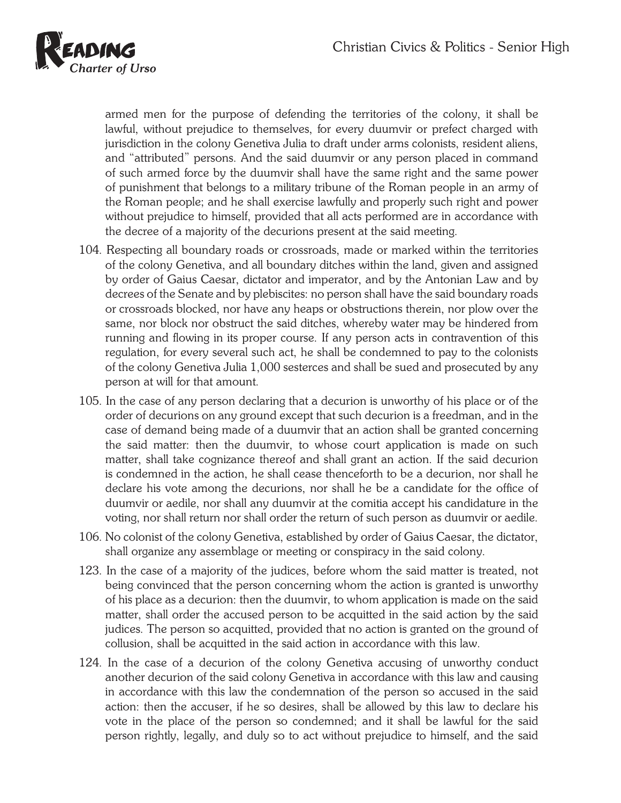

armed men for the purpose of defending the territories of the colony, it shall be lawful, without prejudice to themselves, for every duumvir or prefect charged with jurisdiction in the colony Genetiva Julia to draft under arms colonists, resident aliens, and "attributed" persons. And the said duumvir or any person placed in command of such armed force by the duumvir shall have the same right and the same power of punishment that belongs to a military tribune of the Roman people in an army of the Roman people; and he shall exercise lawfully and properly such right and power without prejudice to himself, provided that all acts performed are in accordance with the decree of a majority of the decurions present at the said meeting.

- 104. Respecting all boundary roads or crossroads, made or marked within the territories of the colony Genetiva, and all boundary ditches within the land, given and assigned by order of Gaius Caesar, dictator and imperator, and by the Antonian Law and by decrees of the Senate and by plebiscites: no person shall have the said boundary roads or crossroads blocked, nor have any heaps or obstructions therein, nor plow over the same, nor block nor obstruct the said ditches, whereby water may be hindered from running and flowing in its proper course. If any person acts in contravention of this regulation, for every several such act, he shall be condemned to pay to the colonists of the colony Genetiva Julia 1,000 sesterces and shall be sued and prosecuted by any person at will for that amount.
- 105. In the case of any person declaring that a decurion is unworthy of his place or of the order of decurions on any ground except that such decurion is a freedman, and in the case of demand being made of a duumvir that an action shall be granted concerning the said matter: then the duumvir, to whose court application is made on such matter, shall take cognizance thereof and shall grant an action. If the said decurion is condemned in the action, he shall cease thenceforth to be a decurion, nor shall he declare his vote among the decurions, nor shall he be a candidate for the office of duumvir or aedile, nor shall any duumvir at the comitia accept his candidature in the voting, nor shall return nor shall order the return of such person as duumvir or aedile.
- 106. No colonist of the colony Genetiva, established by order of Gaius Caesar, the dictator, shall organize any assemblage or meeting or conspiracy in the said colony.
- 123. In the case of a majority of the judices, before whom the said matter is treated, not being convinced that the person concerning whom the action is granted is unworthy of his place as a decurion: then the duumvir, to whom application is made on the said matter, shall order the accused person to be acquitted in the said action by the said judices. The person so acquitted, provided that no action is granted on the ground of collusion, shall be acquitted in the said action in accordance with this law.
- 124. In the case of a decurion of the colony Genetiva accusing of unworthy conduct another decurion of the said colony Genetiva in accordance with this law and causing in accordance with this law the condemnation of the person so accused in the said action: then the accuser, if he so desires, shall be allowed by this law to declare his vote in the place of the person so condemned; and it shall be lawful for the said person rightly, legally, and duly so to act without prejudice to himself, and the said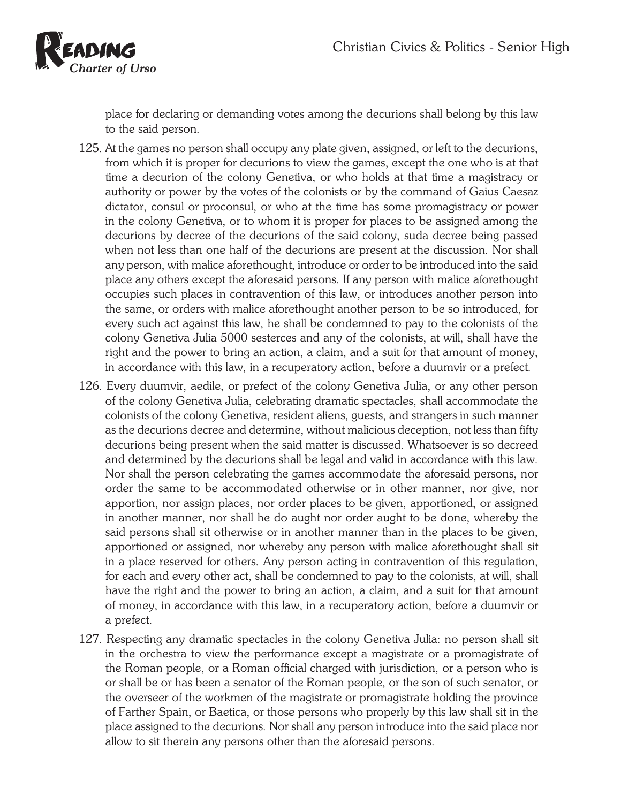

place for declaring or demanding votes among the decurions shall belong by this law to the said person.

- 125. At the games no person shall occupy any plate given, assigned, or left to the decurions, from which it is proper for decurions to view the games, except the one who is at that time a decurion of the colony Genetiva, or who holds at that time a magistracy or authority or power by the votes of the colonists or by the command of Gaius Caesaz dictator, consul or proconsul, or who at the time has some promagistracy or power in the colony Genetiva, or to whom it is proper for places to be assigned among the decurions by decree of the decurions of the said colony, suda decree being passed when not less than one half of the decurions are present at the discussion. Nor shall any person, with malice aforethought, introduce or order to be introduced into the said place any others except the aforesaid persons. If any person with malice aforethought occupies such places in contravention of this law, or introduces another person into the same, or orders with malice aforethought another person to be so introduced, for every such act against this law, he shall be condemned to pay to the colonists of the colony Genetiva Julia 5000 sesterces and any of the colonists, at will, shall have the right and the power to bring an action, a claim, and a suit for that amount of money, in accordance with this law, in a recuperatory action, before a duumvir or a prefect.
- 126. Every duumvir, aedile, or prefect of the colony Genetiva Julia, or any other person of the colony Genetiva Julia, celebrating dramatic spectacles, shall accommodate the colonists of the colony Genetiva, resident aliens, guests, and strangers in such manner as the decurions decree and determine, without malicious deception, not less than fifty decurions being present when the said matter is discussed. Whatsoever is so decreed and determined by the decurions shall be legal and valid in accordance with this law. Nor shall the person celebrating the games accommodate the aforesaid persons, nor order the same to be accommodated otherwise or in other manner, nor give, nor apportion, nor assign places, nor order places to be given, apportioned, or assigned in another manner, nor shall he do aught nor order aught to be done, whereby the said persons shall sit otherwise or in another manner than in the places to be given, apportioned or assigned, nor whereby any person with malice aforethought shall sit in a place reserved for others. Any person acting in contravention of this regulation, for each and every other act, shall be condemned to pay to the colonists, at will, shall have the right and the power to bring an action, a claim, and a suit for that amount of money, in accordance with this law, in a recuperatory action, before a duumvir or a prefect.
- 127. Respecting any dramatic spectacles in the colony Genetiva Julia: no person shall sit in the orchestra to view the performance except a magistrate or a promagistrate of the Roman people, or a Roman official charged with jurisdiction, or a person who is or shall be or has been a senator of the Roman people, or the son of such senator, or the overseer of the workmen of the magistrate or promagistrate holding the province of Farther Spain, or Baetica, or those persons who properly by this law shall sit in the place assigned to the decurions. Nor shall any person introduce into the said place nor allow to sit therein any persons other than the aforesaid persons.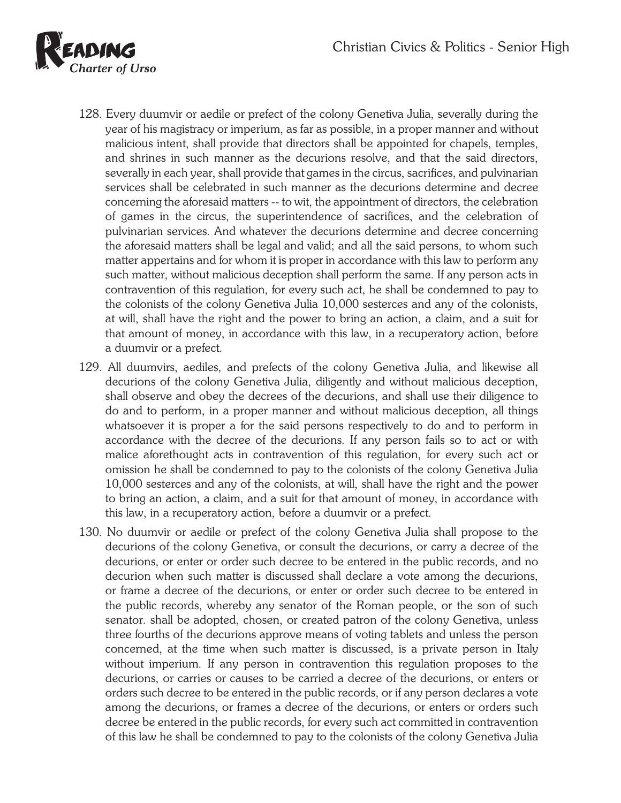

- 128. Every duumvir or aedile or prefect of the colony Genetiva Julia, severally during the year of his magistracy or imperium, as far as possible, in a proper manner and without malicious intent, shall provide that directors shall be appointed for chapels, temples, and shrines in such manner as the decurions resolve, and that the said directors, severally in each year, shall provide that games in the circus, sacrifices, and pulvinarian services shall be celebrated in such manner as the decurions determine and decree concerning the aforesaid matters -- to wit, the appointment of directors, the celebration of games in the circus, the superintendence of sacrifices, and the celebration of pulvinarian services. And whatever the decurions determine and decree concerning the aforesaid matters shall be legal and valid; and all the said persons, to whom such matter appertains and for whom it is proper in accordance with this law to perform any such matter, without malicious deception shall perform the same. If any person acts in contravention of this regulation, for every such act, he shall be condemned to pay to the colonists of the colony Genetiva Julia 10,000 sesterces and any of the colonists, at will, shall have the right and the power to bring an action, a claim, and a suit for that amount of money, in accordance with this law, in a recuperatory action, before a duumvir or a prefect.
- 129. All duumvirs, aediles, and prefects of the colony Genetiva Julia, and likewise all decurions of the colony Genetiva Julia, diligently and without malicious deception, shall observe and obey the decrees of the decurions, and shall use their diligence to do and to perform, in a proper manner and without malicious deception, all things whatsoever it is proper a for the said persons respectively to do and to perform in accordance with the decree of the decurions. If any person fails so to act or with malice aforethought acts in contravention of this regulation, for every such act or omission he shall be condemned to pay to the colonists of the colony Genetiva Julia 10,000 sesterces and any of the colonists, at will, shall have the right and the power to bring an action, a claim, and a suit for that amount of money, in accordance with this law, in a recuperatory action, before a duumvir or a prefect.
- 130. No duumvir or aedile or prefect of the colony Genetiva Julia shall propose to the decurions of the colony Genetiva, or consult the decurions, or carry a decree of the decurions, or enter or order such decree to be entered in the public records, and no decurion when such matter is discussed shall declare a vote among the decurions, or frame a decree of the decurions, or enter or order such decree to be entered in the public records, whereby any senator of the Roman people, or the son of such senator. shall be adopted, chosen, or created patron of the colony Genetiva, unless three fourths of the decurions approve means of voting tablets and unless the person concerned, at the time when such matter is discussed, is a private person in Italy without imperium. If any person in contravention this regulation proposes to the decurions, or carries or causes to be carried a decree of the decurions, or enters or orders such decree to be entered in the public records, or if any person declares a vote among the decurions, or frames a decree of the decurions, or enters or orders such decree be entered in the public records, for every such act committed in contravention of this law he shall be condemned to pay to the colonists of the colony Genetiva Julia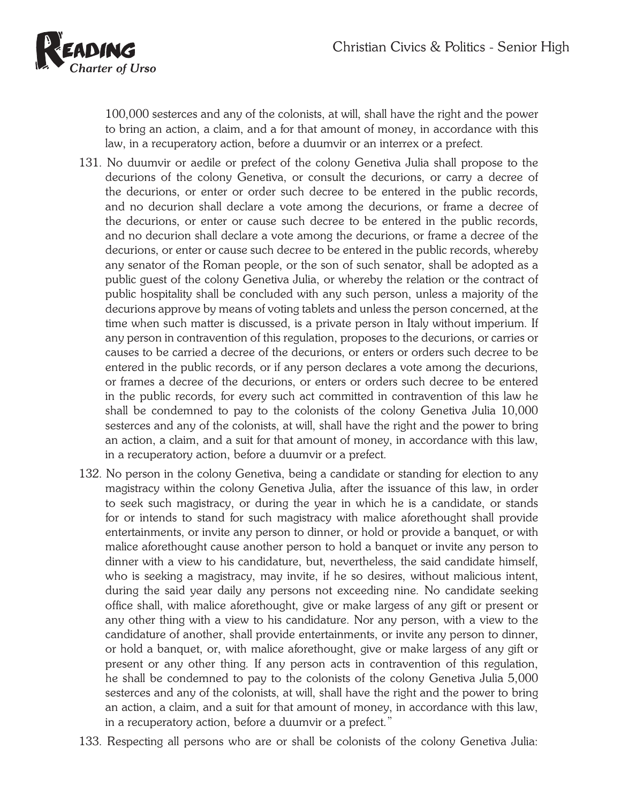

100,000 sesterces and any of the colonists, at will, shall have the right and the power to bring an action, a claim, and a for that amount of money, in accordance with this law, in a recuperatory action, before a duumvir or an interrex or a prefect.

- 131. No duumvir or aedile or prefect of the colony Genetiva Julia shall propose to the decurions of the colony Genetiva, or consult the decurions, or carry a decree of the decurions, or enter or order such decree to be entered in the public records, and no decurion shall declare a vote among the decurions, or frame a decree of the decurions, or enter or cause such decree to be entered in the public records, and no decurion shall declare a vote among the decurions, or frame a decree of the decurions, or enter or cause such decree to be entered in the public records, whereby any senator of the Roman people, or the son of such senator, shall be adopted as a public guest of the colony Genetiva Julia, or whereby the relation or the contract of public hospitality shall be concluded with any such person, unless a majority of the decurions approve by means of voting tablets and unless the person concerned, at the time when such matter is discussed, is a private person in Italy without imperium. If any person in contravention of this regulation, proposes to the decurions, or carries or causes to be carried a decree of the decurions, or enters or orders such decree to be entered in the public records, or if any person declares a vote among the decurions, or frames a decree of the decurions, or enters or orders such decree to be entered in the public records, for every such act committed in contravention of this law he shall be condemned to pay to the colonists of the colony Genetiva Julia 10,000 sesterces and any of the colonists, at will, shall have the right and the power to bring an action, a claim, and a suit for that amount of money, in accordance with this law, in a recuperatory action, before a duumvir or a prefect.
- 132. No person in the colony Genetiva, being a candidate or standing for election to any magistracy within the colony Genetiva Julia, after the issuance of this law, in order to seek such magistracy, or during the year in which he is a candidate, or stands for or intends to stand for such magistracy with malice aforethought shall provide entertainments, or invite any person to dinner, or hold or provide a banquet, or with malice aforethought cause another person to hold a banquet or invite any person to dinner with a view to his candidature, but, nevertheless, the said candidate himself, who is seeking a magistracy, may invite, if he so desires, without malicious intent, during the said year daily any persons not exceeding nine. No candidate seeking office shall, with malice aforethought, give or make largess of any gift or present or any other thing with a view to his candidature. Nor any person, with a view to the candidature of another, shall provide entertainments, or invite any person to dinner, or hold a banquet, or, with malice aforethought, give or make largess of any gift or present or any other thing. If any person acts in contravention of this regulation, he shall be condemned to pay to the colonists of the colony Genetiva Julia 5,000 sesterces and any of the colonists, at will, shall have the right and the power to bring an action, a claim, and a suit for that amount of money, in accordance with this law, in a recuperatory action, before a duumvir or a prefect."
- 133. Respecting all persons who are or shall be colonists of the colony Genetiva Julia: